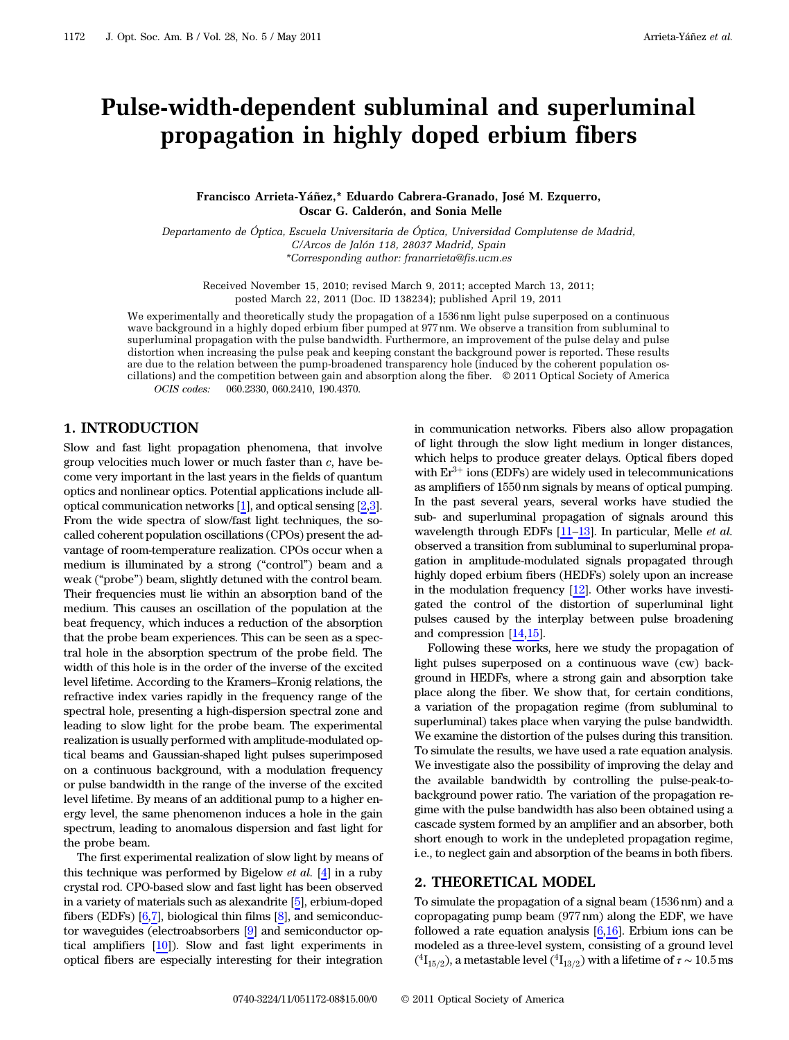# Pulse-width-dependent subluminal and superluminal propagation in highly doped erbium fibers

## Francisco Arrieta-Yáñez,\* Eduardo Cabrera-Granado, José M. Ezquerro, Oscar G. Calderón, and Sonia Melle

Departamento de Óptica, Escuela Universitaria de Óptica, Universidad Complutense de Madrid, C/Arcos de Jalón 118, 28037 Madrid, Spain \*Corresponding author: franarrieta@fis.ucm.es

Received November 15, 2010; revised March 9, 2011; accepted March 13, 2011; posted March 22, 2011 (Doc. ID 138234); published April 19, 2011

We experimentally and theoretically study the propagation of a 1536 nm light pulse superposed on a continuous wave background in a highly doped erbium fiber pumped at 977 nm. We observe a transition from subluminal to superluminal propagation with the pulse bandwidth. Furthermore, an improvement of the pulse delay and pulse distortion when increasing the pulse peak and keeping constant the background power is reported. These results are due to the relation between the pump-broadened transparency hole (induced by the coherent population oscillations) and the competition between gain and absorption along the fiber. © 2011 Optical Society of America OCIS codes: 060.2330, 060.2410, 190.4370.

## 1. INTRODUCTION

Slow and fast light propagation phenomena, that involve group velocities much lower or much faster than  $c$ , have become very important in the last years in the fields of quantum optics and nonlinear optics. Potential applications include alloptical communication networks [1], and optical sensing [2,3]. From the wide spectra of slow/fast light techniques, the socalled coherent population oscillations (CPOs) present the advantage of room-temperature realization. CPOs occur when a medium is illuminated by a strong ("control") beam and a weak ("probe") beam, slightly detuned with the control beam. Their frequencies must lie within an absorption band of the medium. This causes an oscillation of the population at the beat frequency, which induces a reduction of the absorption that the probe beam experiences. This can be seen as a spectral hole in the absorption spectrum of the probe field. The width of this hole is in the order of the inverse of the excited level lifetime. According to the Kramers–Kronig relations, the refractive index varies rapidly in the frequency range of the spectral hole, presenting a high-dispersion spectral zone and leading to slow light for the probe beam. The experimental realization is usually performed with amplitude-modulated optical beams and Gaussian-shaped light pulses superimposed on a continuous background, with a modulation frequency or pulse bandwidth in the range of the inverse of the excited level lifetime. By means of an additional pump to a higher energy level, the same phenomenon induces a hole in the gain spectrum, leading to anomalous dispersion and fast light for the probe beam.

The first experimental realization of slow light by means of this technique was performed by Bigelow  $et$  al.  $[4]$  in a ruby crystal rod. CPO-based slow and fast light has been observed in a variety of materials such as alexandrite [5], erbium-doped fibers (EDFs)  $[6,7]$ , biological thin films  $[8]$ , and semiconductor waveguides (electroabsorbers [9] and semiconductor optical amplifiers [10]). Slow and fast light experiments in optical fibers are especially interesting for their integration in communication networks. Fibers also allow propagation of light through the slow light medium in longer distances, which helps to produce greater delays. Optical fibers doped with  $Er^{3+}$  ions (EDFs) are widely used in telecommunications as amplifiers of 1550 nm signals by means of optical pumping. In the past several years, several works have studied the sub- and superluminal propagation of signals around this wavelength through EDFs [11–13]. In particular, Melle *et al.* observed a transition from subluminal to superluminal propagation in amplitude-modulated signals propagated through highly doped erbium fibers (HEDFs) solely upon an increase in the modulation frequency  $[12]$ . Other works have investigated the control of the distortion of superluminal light pulses caused by the interplay between pulse broadening and compression [14,15].

Following these works, here we study the propagation of light pulses superposed on a continuous wave (cw) background in HEDFs, where a strong gain and absorption take place along the fiber. We show that, for certain conditions, a variation of the propagation regime (from subluminal to superluminal) takes place when varying the pulse bandwidth. We examine the distortion of the pulses during this transition. To simulate the results, we have used a rate equation analysis. We investigate also the possibility of improving the delay and the available bandwidth by controlling the pulse-peak-tobackground power ratio. The variation of the propagation regime with the pulse bandwidth has also been obtained using a cascade system formed by an amplifier and an absorber, both short enough to work in the undepleted propagation regime, i.e., to neglect gain and absorption of the beams in both fibers.

## 2. THEORETICAL MODEL

To simulate the propagation of a signal beam (1536 nm) and a copropagating pump beam (977 nm) along the EDF, we have followed a rate equation analysis  $[6,16]$ . Erbium ions can be modeled as a three-level system, consisting of a ground level  $({}^{4}I_{15/2})$ , a metastable level  $({}^{4}I_{13/2})$  with a lifetime of  $\tau \sim 10.5 \,\text{ms}$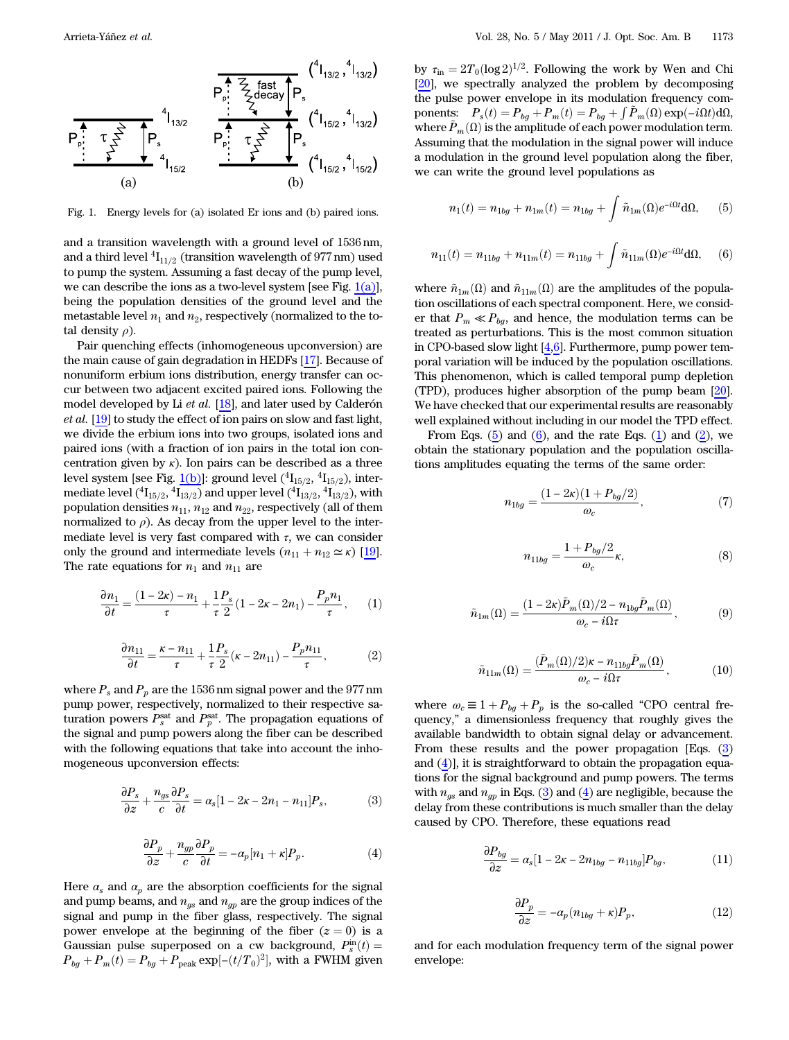

<span id="page-1-0"></span>Fig. 1. Energy levels for (a) isolated Er ions and (b) paired ions.

and a transition wavelength with a ground level of 1536 nm, and a third level  ${}^{4}I_{11/2}$  (transition wavelength of 977 nm) used to pump the system. Assuming a fast decay of the pump level, we can describe the ions as a two-level system [see Fig.  $1(a)$ ], being the population densities of the ground level and the metastable level  $n_1$  and  $n_2$ , respectively (normalized to the total density  $\rho$ ).

Pair quenching effects (inhomogeneous upconversion) are the main cause of gain degradation in HEDFs [17]. Because of nonuniform erbium ions distribution, energy transfer can occur between two adjacent excited paired ions. Following the model developed by Li et al. [18], and later used by Calderón et al. [19] to study the effect of ion pairs on slow and fast light, we divide the erbium ions into two groups, isolated ions and paired ions (with a fraction of ion pairs in the total ion concentration given by  $\kappa$ ). Ion pairs can be described as a three level system [see Fig. [1\(b\)](#page-1-0)]: ground level  $({}^{4}I_{15/2}, {}^{4}I_{15/2})$ , intermediate level  $({}^{4}I_{15/2}, {}^{4}I_{13/2})$  and upper level  $({}^{4}I_{13/2}, {}^{4}I_{13/2})$ , with population densities  $n_{11}$ ,  $n_{12}$  and  $n_{22}$ , respectively (all of them normalized to  $\rho$ ). As decay from the upper level to the intermediate level is very fast compared with  $\tau$ , we can consider only the ground and intermediate levels  $(n_{11} + n_{12} \simeq \kappa)$  [19]. The rate equations for  $n_1$  and  $n_{11}$  are

<span id="page-1-2"></span>
$$
\frac{\partial n_1}{\partial t} = \frac{(1 - 2\kappa) - n_1}{\tau} + \frac{1}{\tau} \frac{P_s}{2} (1 - 2\kappa - 2n_1) - \frac{P_p n_1}{\tau}, \qquad (1)
$$

$$
\frac{\partial n_{11}}{\partial t} = \frac{\kappa - n_{11}}{\tau} + \frac{1}{\tau} \frac{P_s}{2} (\kappa - 2n_{11}) - \frac{P_p n_{11}}{\tau}, \tag{2}
$$

where  $P_s$  and  $P_p$  are the 1536 nm signal power and the 977 nm pump power, respectively, normalized to their respective saturation powers  $P_s^{\text{sat}}$  and  $P_p^{\text{sat}}$ . The propagation equations of the signal and pump powers along the fiber can be described with the following equations that take into account the inhomogeneous upconversion effects:

<span id="page-1-3"></span>
$$
\frac{\partial P_s}{\partial z} + \frac{n_{gs}}{c} \frac{\partial P_s}{\partial t} = \alpha_s [1 - 2\kappa - 2n_1 - n_{11}] P_s, \tag{3}
$$

$$
\frac{\partial P_p}{\partial z} + \frac{n_{gp}}{c} \frac{\partial P_p}{\partial t} = -\alpha_p [n_1 + \kappa] P_p. \tag{4}
$$

Here  $\alpha_s$  and  $\alpha_p$  are the absorption coefficients for the signal and pump beams, and  $n_{gs}$  and  $n_{qp}$  are the group indices of the signal and pump in the fiber glass, respectively. The signal power envelope at the beginning of the fiber  $(z = 0)$  is a Gaussian pulse superposed on a cw background,  $P_s^{\text{in}}(t) =$  $P_{bq} + P_m(t) = P_{bq} + P_{\text{peak}} \exp[-(t/T_0)^2]$ , with a FWHM given by  $\tau_{\text{in}} = 2T_0(\log 2)^{1/2}$ . Following the work by Wen and Chi [20], we spectrally analyzed the problem by decomposing the pulse power envelope in its modulation frequency components:  $P_s(t) = P_{bg} + P_m(t) = P_{bg} + \int \tilde{P}_m(\Omega) \exp(-i\Omega t) d\Omega$ , where  $\tilde{P}_m(\Omega)$  is the amplitude of each power modulation term. Assuming that the modulation in the signal power will induce a modulation in the ground level population along the fiber, we can write the ground level populations as

<span id="page-1-1"></span>
$$
n_1(t) = n_{1bg} + n_{1m}(t) = n_{1bg} + \int \tilde{n}_{1m}(\Omega)e^{-i\Omega t}d\Omega, \qquad (5)
$$

$$
n_{11}(t) = n_{11bg} + n_{11m}(t) = n_{11bg} + \int \tilde{n}_{11m}(\Omega)e^{-i\Omega t}d\Omega, \quad (6)
$$

where  $\tilde{n}_{1m}(\Omega)$  and  $\tilde{n}_{11m}(\Omega)$  are the amplitudes of the population oscillations of each spectral component. Here, we consider that  $P_m \ll P_{ba}$ , and hence, the modulation terms can be treated as perturbations. This is the most common situation in CPO-based slow light  $[4,6]$ . Furthermore, pump power temporal variation will be induced by the population oscillations. This phenomenon, which is called temporal pump depletion (TPD), produces higher absorption of the pump beam [20]. We have checked that our experimental results are reasonably well explained without including in our model the TPD effect.

From Eqs.  $(5)$  and  $(6)$  $(6)$  $(6)$ , and the rate Eqs.  $(1)$  and  $(2)$  $(2)$  $(2)$ , we obtain the stationary population and the population oscillations amplitudes equating the terms of the same order:

$$
n_{1bg} = \frac{(1 - 2\kappa)(1 + P_{bg}/2)}{\omega_c},\tag{7}
$$

$$
n_{11bg} = \frac{1 + P_{bg}/2}{\omega_c} \kappa,
$$
\n(8)

$$
\tilde{n}_{1m}(\Omega) = \frac{(1 - 2\kappa)\tilde{P}_m(\Omega)/2 - n_{1bg}\tilde{P}_m(\Omega)}{\omega_c - i\Omega\tau},\tag{9}
$$

$$
\tilde{n}_{11m}(\Omega) = \frac{(\tilde{P}_m(\Omega)/2)\kappa - n_{11bg}\tilde{P}_m(\Omega)}{\omega_c - i\Omega\tau},\tag{10}
$$

where  $\omega_c \equiv 1 + P_{bg} + P_p$  is the so-called "CPO central frequency," a dimensionless frequency that roughly gives the available bandwidth to obtain signal delay or advancement. From these results and the power propagation [Eqs. (3) and ([4](#page-1-3))], it is straightforward to obtain the propagation equations for the signal background and pump powers. The terms with  $n_{gs}$  and  $n_{gp}$  in Eqs. (3) and ([4](#page-1-3)) are negligible, because the delay from these contributions is much smaller than the delay caused by CPO. Therefore, these equations read

$$
\frac{\partial P_{bg}}{\partial z} = \alpha_s [1 - 2\kappa - 2n_{1bg} - n_{11bg}] P_{bg}, \qquad (11)
$$

$$
\frac{\partial P_p}{\partial z} = -\alpha_p (n_{1bg} + \kappa) P_p,\tag{12}
$$

and for each modulation frequency term of the signal power envelope: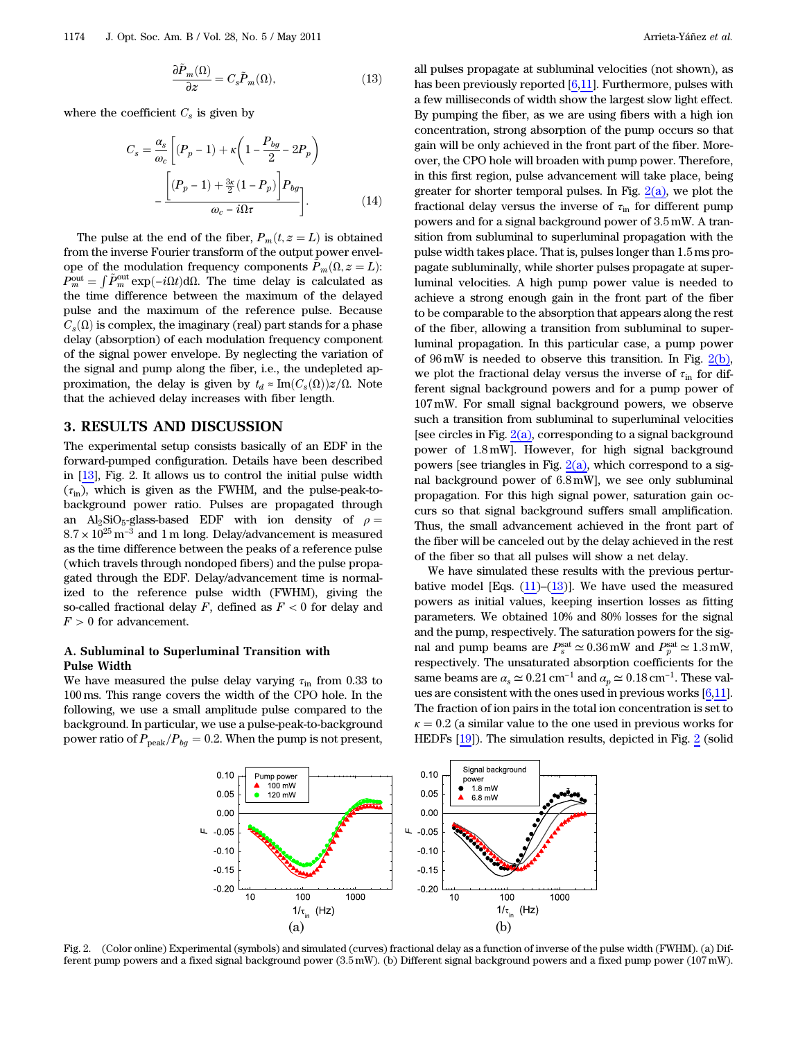$$
\frac{\partial \tilde{P}_m(\Omega)}{\partial z} = C_s \tilde{P}_m(\Omega),\tag{13}
$$

<span id="page-2-1"></span>where the coefficient  $C_s$  is given by

$$
C_s = \frac{\alpha_s}{\omega_c} \left[ (P_p - 1) + \kappa \left( 1 - \frac{P_{bg}}{2} - 2P_p \right) - \frac{\left[ (P_p - 1) + \frac{3\kappa}{2} (1 - P_p) \right] P_{bg}}{\omega_c - i \Omega \tau} \right].
$$
\n(14)

The pulse at the end of the fiber,  $P_m(t, z = L)$  is obtained from the inverse Fourier transform of the output power envelope of the modulation frequency components  $\tilde{P}_m(\Omega, z = L)$ :  $P_m^{\text{out}} = \int \tilde{P}_m^{\text{out}} \exp(-i\Omega t) d\Omega$ . The time delay is calculated as the time difference between the maximum of the delayed pulse and the maximum of the reference pulse. Because  $C_s(\Omega)$  is complex, the imaginary (real) part stands for a phase delay (absorption) of each modulation frequency component of the signal power envelope. By neglecting the variation of the signal and pump along the fiber, i.e., the undepleted approximation, the delay is given by  $t_d \approx \text{Im}(C_s(\Omega))z/\Omega$ . Note that the achieved delay increases with fiber length.

# 3. RESULTS AND DISCUSSION

The experimental setup consists basically of an EDF in the forward-pumped configuration. Details have been described in [13], Fig. 2. It allows us to control the initial pulse width  $(\tau_{\text{in}})$ , which is given as the FWHM, and the pulse-peak-tobackground power ratio. Pulses are propagated through an Al<sub>2</sub>SiO<sub>5</sub>-glass-based EDF with ion density of  $\rho =$  $8.7 \times 10^{25}$  m<sup>-3</sup> and 1 m long. Delay/advancement is measured as the time difference between the peaks of a reference pulse (which travels through nondoped fibers) and the pulse propagated through the EDF. Delay/advancement time is normalized to the reference pulse width (FWHM), giving the so-called fractional delay  $F$ , defined as  $F < 0$  for delay and  $F > 0$  for advancement.

### <span id="page-2-3"></span>A. Subluminal to Superluminal Transition with Pulse Width

<span id="page-2-2"></span>We have measured the pulse delay varying  $\tau_{\text{in}}$  from 0.33 to 100 ms. This range covers the width of the CPO hole. In the following, we use a small amplitude pulse compared to the background. In particular, we use a pulse-peak-to-background power ratio of  $P_{\text{peak}}/P_{bg} = 0.2$ . When the pump is not present, all pulses propagate at subluminal velocities (not shown), as has been previously reported [6,11]. Furthermore, pulses with a few milliseconds of width show the largest slow light effect. By pumping the fiber, as we are using fibers with a high ion concentration, strong absorption of the pump occurs so that gain will be only achieved in the front part of the fiber. Moreover, the CPO hole will broaden with pump power. Therefore, in this first region, pulse advancement will take place, being greater for shorter temporal pulses. In Fig.  $2(a)$ , we plot the fractional delay versus the inverse of  $\tau_{\text{in}}$  for different pump powers and for a signal background power of 3:5 mW. A transition from subluminal to superluminal propagation with the pulse width takes place. That is, pulses longer than 1:5 ms propagate subluminally, while shorter pulses propagate at superluminal velocities. A high pump power value is needed to achieve a strong enough gain in the front part of the fiber to be comparable to the absorption that appears along the rest of the fiber, allowing a transition from subluminal to superluminal propagation. In this particular case, a pump power of  $96 \,\mathrm{mW}$  is needed to observe this transition. In Fig.  $2(b)$ , we plot the fractional delay versus the inverse of  $\tau_{\text{in}}$  for different signal background powers and for a pump power of 107 mW. For small signal background powers, we observe such a transition from subluminal to superluminal velocities [see circles in Fig.  $2(a)$ , corresponding to a signal background power of 1:8 mW]. However, for high signal background powers [see triangles in Fig.  $2(a)$ , which correspond to a signal background power of 6:8 mW], we see only subluminal propagation. For this high signal power, saturation gain occurs so that signal background suffers small amplification. Thus, the small advancement achieved in the front part of the fiber will be canceled out by the delay achieved in the rest of the fiber so that all pulses will show a net delay.

We have simulated these results with the previous perturbative model [Eqs.  $(11)$ – $(13)$  $(13)$ ]. We have used the measured powers as initial values, keeping insertion losses as fitting parameters. We obtained 10% and 80% losses for the signal and the pump, respectively. The saturation powers for the signal and pump beams are  $P_s^{\text{sat}} \simeq 0.36 \,\text{mW}$  and  $P_p^{\text{sat}} \simeq 1.3 \,\text{mW}$ , respectively. The unsaturated absorption coefficients for the same beams are  $\alpha_s \simeq 0.21 \text{ cm}^{-1}$  and  $\alpha_p \simeq 0.18 \text{ cm}^{-1}$ . These values are consistent with the ones used in previous works [6,11]. The fraction of ion pairs in the total ion concentration is set to  $\kappa = 0.2$  (a similar value to the one used in previous works for HEDFs [19]). The simulation results, depicted in Fig. [2](#page-2-2) (solid



<span id="page-2-0"></span>Fig. 2. (Color online) Experimental (symbols) and simulated (curves) fractional delay as a function of inverse of the pulse width (FWHM). (a) Different pump powers and a fixed signal background power (3:5 mW). (b) Different signal background powers and a fixed pump power (107 mW).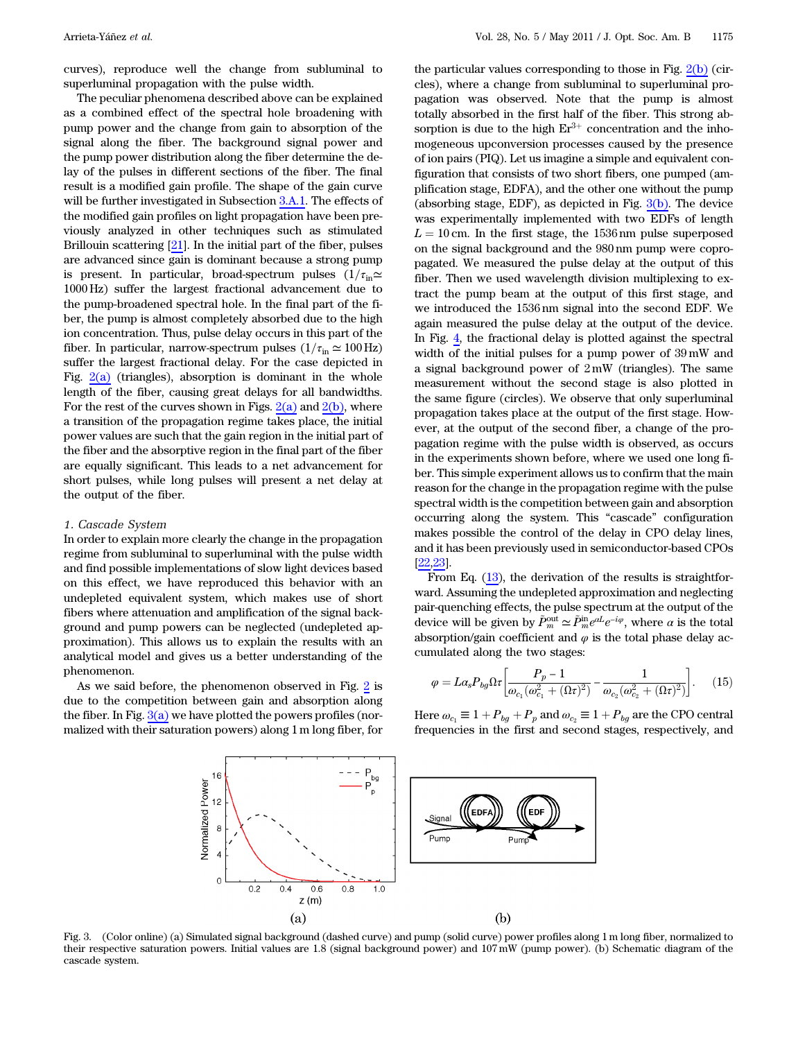curves), reproduce well the change from subluminal to superluminal propagation with the pulse width.

The peculiar phenomena described above can be explained as a combined effect of the spectral hole broadening with pump power and the change from gain to absorption of the signal along the fiber. The background signal power and the pump power distribution along the fiber determine the delay of the pulses in different sections of the fiber. The final result is a modified gain profile. The shape of the gain curve will be further investigated in Subsection [3.A.1.](#page-3-0) The effects of the modified gain profiles on light propagation have been previously analyzed in other techniques such as stimulated Brillouin scattering  $[21]$ . In the initial part of the fiber, pulses are advanced since gain is dominant because a strong pump is present. In particular, broad-spectrum pulses ( $1/\tau_{\text{in}}\simeq$ 1000 Hz) suffer the largest fractional advancement due to the pump-broadened spectral hole. In the final part of the fiber, the pump is almost completely absorbed due to the high ion concentration. Thus, pulse delay occurs in this part of the fiber. In particular, narrow-spectrum pulses  $(1/\tau_{\text{in}} \simeq 100 \text{ Hz})$ suffer the largest fractional delay. For the case depicted in Fig.  $2(a)$  (triangles), absorption is dominant in the whole length of the fiber, causing great delays for all bandwidths. For the rest of the curves shown in Figs.  $2(a)$  and  $2(b)$ , where a transition of the propagation regime takes place, the initial power values are such that the gain region in the initial part of the fiber and the absorptive region in the final part of the fiber are equally significant. This leads to a net advancement for short pulses, while long pulses will present a net delay at the output of the fiber.

#### <span id="page-3-0"></span>1. Cascade System

In order to explain more clearly the change in the propagation regime from subluminal to superluminal with the pulse width and find possible implementations of slow light devices based on this effect, we have reproduced this behavior with an undepleted equivalent system, which makes use of short fibers where attenuation and amplification of the signal background and pump powers can be neglected (undepleted approximation). This allows us to explain the results with an analytical model and gives us a better understanding of the phenomenon.

As we said before, the phenomenon observed in Fig. [2](#page-2-2) is due to the competition between gain and absorption along the fiber. In Fig.  $3(a)$  we have plotted the powers profiles (normalized with their saturation powers) along 1 m long fiber, for

the particular values corresponding to those in Fig.  $2(b)$  (circles), where a change from subluminal to superluminal propagation was observed. Note that the pump is almost totally absorbed in the first half of the fiber. This strong absorption is due to the high  $Er^{3+}$  concentration and the inhomogeneous upconversion processes caused by the presence of ion pairs (PIQ). Let us imagine a simple and equivalent configuration that consists of two short fibers, one pumped (amplification stage, EDFA), and the other one without the pump (absorbing stage, EDF), as depicted in Fig.  $3(b)$ . The device was experimentally implemented with two EDFs of length  $L = 10$  cm. In the first stage, the 1536 nm pulse superposed on the signal background and the 980 nm pump were copropagated. We measured the pulse delay at the output of this fiber. Then we used wavelength division multiplexing to extract the pump beam at the output of this first stage, and we introduced the 1536 nm signal into the second EDF. We again measured the pulse delay at the output of the device. In Fig. [4,](#page-4-0) the fractional delay is plotted against the spectral width of the initial pulses for a pump power of 39 mW and a signal background power of 2 mW (triangles). The same measurement without the second stage is also plotted in the same figure (circles). We observe that only superluminal propagation takes place at the output of the first stage. However, at the output of the second fiber, a change of the propagation regime with the pulse width is observed, as occurs in the experiments shown before, where we used one long fiber. This simple experiment allows us to confirm that the main reason for the change in the propagation regime with the pulse spectral width is the competition between gain and absorption occurring along the system. This "cascade" configuration makes possible the control of the delay in CPO delay lines, and it has been previously used in semiconductor-based CPOs [22,23].

From Eq.  $(13)$  $(13)$ , the derivation of the results is straightforward. Assuming the undepleted approximation and neglecting pair-quenching effects, the pulse spectrum at the output of the device will be given by  $\tilde{P}_m^{\text{out}} \simeq \tilde{P}_m^{\text{in}} e^{\alpha L} e^{-i\varphi}$ , where  $\alpha$  is the total absorption/gain coefficient and  $\varphi$  is the total phase delay accumulated along the two stages:

$$
\varphi = L\alpha_s P_{bg} \Omega \tau \left[ \frac{P_p - 1}{\omega_{c_1} (\omega_{c_1}^2 + (\Omega \tau)^2)} - \frac{1}{\omega_{c_2} (\omega_{c_2}^2 + (\Omega \tau)^2)} \right].
$$
 (15)

Here  $\omega_{c_1} \equiv 1 + P_{bg} + P_p$  and  $\omega_{c_2} \equiv 1 + P_{bg}$  are the CPO central frequencies in the first and second stages, respectively, and



<span id="page-3-1"></span>Fig. 3. (Color online) (a) Simulated signal background (dashed curve) and pump (solid curve) power profiles along 1 m long fiber, normalized to their respective saturation powers. Initial values are 1.8 (signal background power) and 107 mW (pump power). (b) Schematic diagram of the cascade system.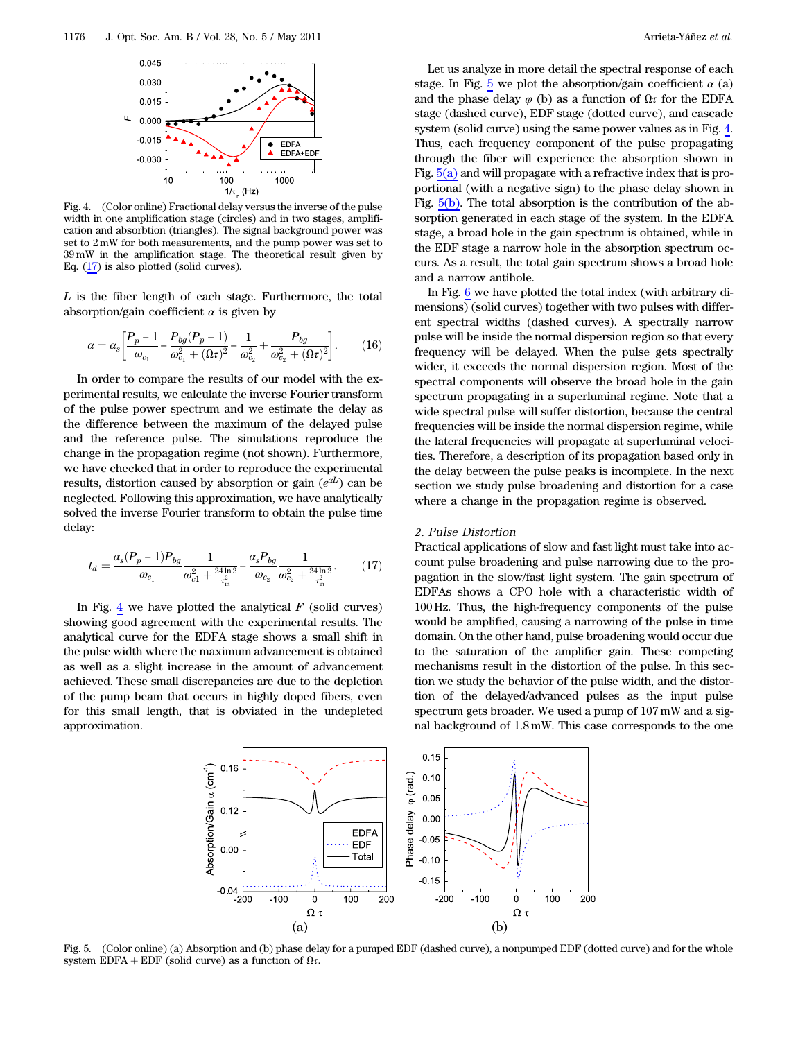<span id="page-4-0"></span>

Fig. 4. (Color online) Fractional delay versus the inverse of the pulse width in one amplification stage (circles) and in two stages, amplification and absorbtion (triangles). The signal background power was set to 2 mW for both measurements, and the pump power was set to 39 mW in the amplification stage. The theoretical result given by Eq. [\(17](#page-4-3)) is also plotted (solid curves).

L is the fiber length of each stage. Furthermore, the total absorption/gain coefficient  $\alpha$  is given by

$$
\alpha = \alpha_s \left[ \frac{P_p - 1}{\omega_{c_1}} - \frac{P_{bg}(P_p - 1)}{\omega_{c_1}^2 + (\Omega \tau)^2} - \frac{1}{\omega_{c_2}^2} + \frac{P_{bg}}{\omega_{c_2}^2 + (\Omega \tau)^2} \right].
$$
 (16)

In order to compare the results of our model with the experimental results, we calculate the inverse Fourier transform of the pulse power spectrum and we estimate the delay as the difference between the maximum of the delayed pulse and the reference pulse. The simulations reproduce the change in the propagation regime (not shown). Furthermore, we have checked that in order to reproduce the experimental results, distortion caused by absorption or gain  $(e^{aL})$  can be neglected. Following this approximation, we have analytically solved the inverse Fourier transform to obtain the pulse time delay:

<span id="page-4-3"></span>
$$
t_d = \frac{\alpha_s (P_p - 1) P_{bg}}{\omega_{c_1}} \frac{1}{\omega_{c_1}^2 + \frac{24 \ln 2}{\tau_{in}^2}} - \frac{\alpha_s P_{bg}}{\omega_{c_2}} \frac{1}{\omega_{c_2}^2 + \frac{24 \ln 2}{\tau_{in}^2}}.
$$
 (17)

In Fig. [4](#page-4-0) we have plotted the analytical  $F$  (solid curves) showing good agreement with the experimental results. The analytical curve for the EDFA stage shows a small shift in the pulse width where the maximum advancement is obtained as well as a slight increase in the amount of advancement achieved. These small discrepancies are due to the depletion of the pump beam that occurs in highly doped fibers, even for this small length, that is obviated in the undepleted approximation.

Let us analyze in more detail the spectral response of each stage. In Fig. [5](#page-4-1) we plot the absorption/gain coefficient  $\alpha$  (a) and the phase delay  $\varphi$  (b) as a function of  $\Omega \tau$  for the EDFA stage (dashed curve), EDF stage (dotted curve), and cascade system (solid curve) using the same power values as in Fig. [4.](#page-4-0) Thus, each frequency component of the pulse propagating through the fiber will experience the absorption shown in Fig.  $5(a)$  and will propagate with a refractive index that is proportional (with a negative sign) to the phase delay shown in Fig. [5\(b\)](#page-4-2). The total absorption is the contribution of the absorption generated in each stage of the system. In the EDFA stage, a broad hole in the gain spectrum is obtained, while in the EDF stage a narrow hole in the absorption spectrum occurs. As a result, the total gain spectrum shows a broad hole and a narrow antihole.

In Fig. [6](#page-5-0) we have plotted the total index (with arbitrary dimensions) (solid curves) together with two pulses with different spectral widths (dashed curves). A spectrally narrow pulse will be inside the normal dispersion region so that every frequency will be delayed. When the pulse gets spectrally wider, it exceeds the normal dispersion region. Most of the spectral components will observe the broad hole in the gain spectrum propagating in a superluminal regime. Note that a wide spectral pulse will suffer distortion, because the central frequencies will be inside the normal dispersion regime, while the lateral frequencies will propagate at superluminal velocities. Therefore, a description of its propagation based only in the delay between the pulse peaks is incomplete. In the next section we study pulse broadening and distortion for a case where a change in the propagation regime is observed.

#### 2. Pulse Distortion

Practical applications of slow and fast light must take into account pulse broadening and pulse narrowing due to the propagation in the slow/fast light system. The gain spectrum of EDFAs shows a CPO hole with a characteristic width of 100 Hz. Thus, the high-frequency components of the pulse would be amplified, causing a narrowing of the pulse in time domain. On the other hand, pulse broadening would occur due to the saturation of the amplifier gain. These competing mechanisms result in the distortion of the pulse. In this section we study the behavior of the pulse width, and the distortion of the delayed/advanced pulses as the input pulse spectrum gets broader. We used a pump of 107 mW and a signal background of 1:8 mW. This case corresponds to the one

<span id="page-4-1"></span>

<span id="page-4-2"></span>Fig. 5. (Color online) (a) Absorption and (b) phase delay for a pumped EDF (dashed curve), a nonpumped EDF (dotted curve) and for the whole system EDFA + EDF (solid curve) as a function of  $Ωτ$ .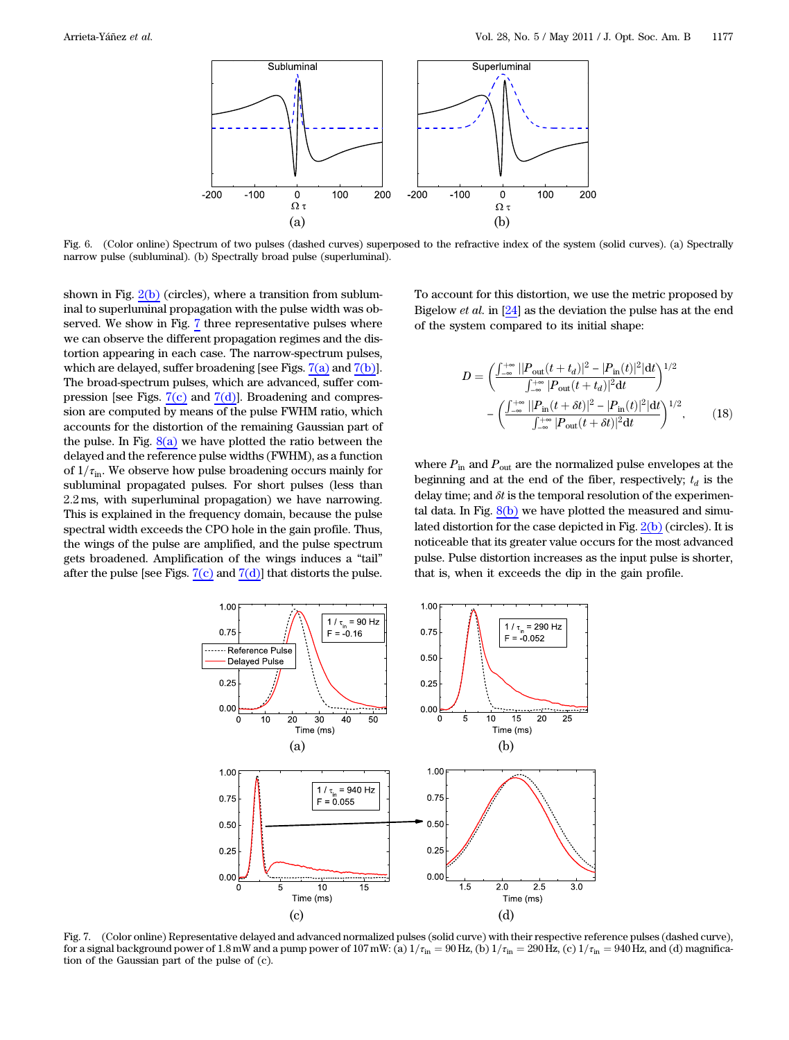<span id="page-5-0"></span>

Fig. 6. (Color online) Spectrum of two pulses (dashed curves) superposed to the refractive index of the system (solid curves). (a) Spectrally narrow pulse (subluminal). (b) Spectrally broad pulse (superluminal).

shown in Fig.  $2(b)$  (circles), where a transition from subluminal to superluminal propagation with the pulse width was observed. We show in Fig. [7](#page-5-1) three representative pulses where we can observe the different propagation regimes and the distortion appearing in each case. The narrow-spectrum pulses, which are delayed, suffer broadening [see Figs.  $7(a)$  and  $7(b)$ ]. The broad-spectrum pulses, which are advanced, suffer compression [see Figs.  $7(c)$  and  $7(d)$ ]. Broadening and compression are computed by means of the pulse FWHM ratio, which accounts for the distortion of the remaining Gaussian part of the pulse. In Fig.  $8(a)$  we have plotted the ratio between the delayed and the reference pulse widths (FWHM), as a function of  $1/\tau_{\text{in}}$ . We observe how pulse broadening occurs mainly for subluminal propagated pulses. For short pulses (less than 2:2 ms, with superluminal propagation) we have narrowing. This is explained in the frequency domain, because the pulse spectral width exceeds the CPO hole in the gain profile. Thus, the wings of the pulse are amplified, and the pulse spectrum gets broadened. Amplification of the wings induces a "tail" after the pulse [see Figs.  $7(c)$  and  $7(d)$ ] that distorts the pulse.

To account for this distortion, we use the metric proposed by Bigelow *et al.* in  $[24]$  as the deviation the pulse has at the end of the system compared to its initial shape:

$$
D = \left(\frac{\int_{-\infty}^{+\infty} ||P_{\text{out}}(t+t_d)||^2 - |P_{\text{in}}(t)||^2|dt}{\int_{-\infty}^{+\infty} |P_{\text{out}}(t+t_d)||^2dt}\right)^{1/2} - \left(\frac{\int_{-\infty}^{+\infty} ||P_{\text{in}}(t+\delta t)||^2 - |P_{\text{in}}(t)||^2|dt}{\int_{-\infty}^{+\infty} |P_{\text{out}}(t+\delta t)||^2dt}\right)^{1/2},\tag{18}
$$

where  $P_{\text{in}}$  and  $P_{\text{out}}$  are the normalized pulse envelopes at the beginning and at the end of the fiber, respectively;  $t_d$  is the delay time; and  $\delta t$  is the temporal resolution of the experimental data. In Fig.  $8(b)$  we have plotted the measured and simulated distortion for the case depicted in Fig. [2\(b\)](#page-2-0) (circles). It is noticeable that its greater value occurs for the most advanced pulse. Pulse distortion increases as the input pulse is shorter, that is, when it exceeds the dip in the gain profile.

<span id="page-5-1"></span>

<span id="page-5-2"></span>Fig. 7. (Color online) Representative delayed and advanced normalized pulses (solid curve) with their respective reference pulses (dashed curve), for a signal background power of 1.8 mW and a pump power of 107 mW: (a)  $1/\tau_{\rm in} = 90$  Hz, (b)  $1/\tau_{\rm in} = 290$  Hz, (c)  $1/\tau_{\rm in} = 940$  Hz, and (d) magnification of the Gaussian part of the pulse of (c).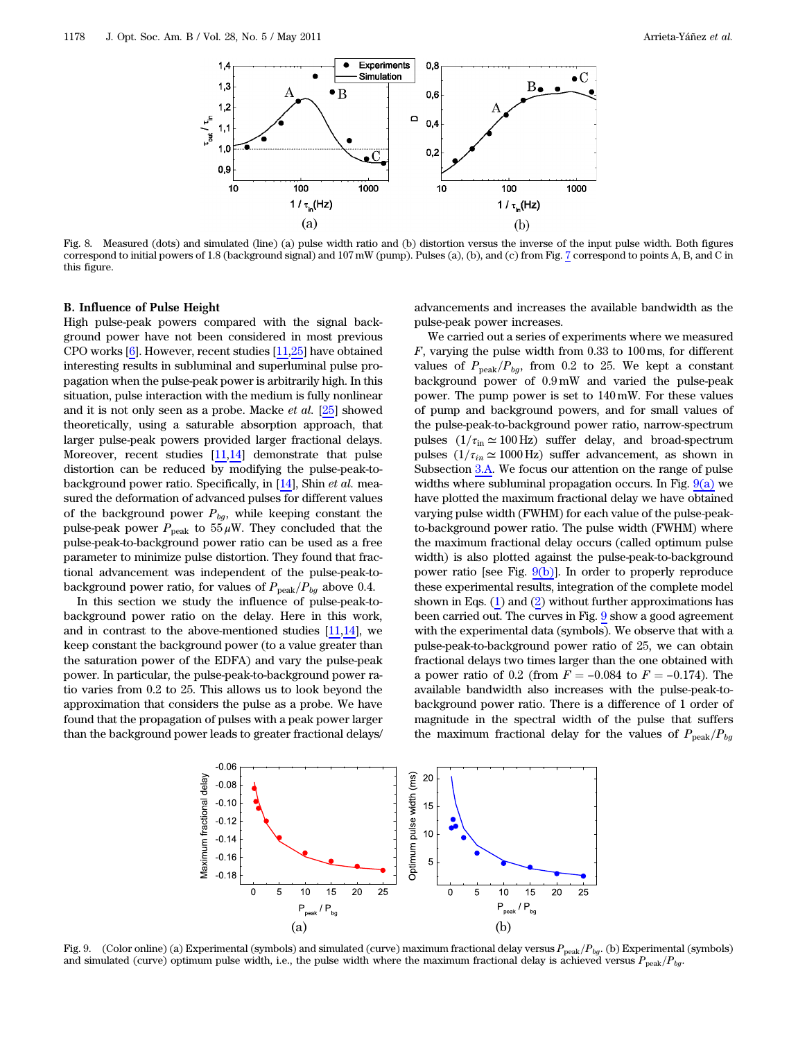

<span id="page-6-0"></span>Fig. 8. Measured (dots) and simulated (line) (a) pulse width ratio and (b) distortion versus the inverse of the input pulse width. Both figures correspond to initial powers of 1.8 (background signal) and 107 mW (pump). Pulses (a), (b), and (c) from Fig. [7](#page-5-1) correspond to points A, B, and C in this figure.

#### B. Influence of Pulse Height

High pulse-peak powers compared with the signal background power have not been considered in most previous CPO works [6]. However, recent studies [11,25] have obtained interesting results in subluminal and superluminal pulse propagation when the pulse-peak power is arbitrarily high. In this situation, pulse interaction with the medium is fully nonlinear and it is not only seen as a probe. Macke  $et$   $al.$  [25] showed theoretically, using a saturable absorption approach, that larger pulse-peak powers provided larger fractional delays. Moreover, recent studies [11,14] demonstrate that pulse distortion can be reduced by modifying the pulse-peak-tobackground power ratio. Specifically, in [14], Shin et al. measured the deformation of advanced pulses for different values of the background power  $P_{bg}$ , while keeping constant the pulse-peak power  $P_{\text{peak}}$  to  $55 \mu$ W. They concluded that the pulse-peak-to-background power ratio can be used as a free parameter to minimize pulse distortion. They found that fractional advancement was independent of the pulse-peak-tobackground power ratio, for values of  $P_{\text{peak}}/P_{\text{bg}}$  above 0.4.

In this section we study the influence of pulse-peak-tobackground power ratio on the delay. Here in this work, and in contrast to the above-mentioned studies [11,14], we keep constant the background power (to a value greater than the saturation power of the EDFA) and vary the pulse-peak power. In particular, the pulse-peak-to-background power ratio varies from 0.2 to 25. This allows us to look beyond the approximation that considers the pulse as a probe. We have found that the propagation of pulses with a peak power larger than the background power leads to greater fractional delays/ advancements and increases the available bandwidth as the pulse-peak power increases.

We carried out a series of experiments where we measured  $F$ , varying the pulse width from 0.33 to 100 ms, for different values of  $P_{\text{peak}}/P_{bg}$ , from 0.2 to 25. We kept a constant background power of 0:9 mW and varied the pulse-peak power. The pump power is set to 140 mW. For these values of pump and background powers, and for small values of the pulse-peak-to-background power ratio, narrow-spectrum pulses  $(1/\tau_{\text{in}} \simeq 100 \text{ Hz})$  suffer delay, and broad-spectrum pulses  $(1/\tau_{in} \simeq 1000 \text{ Hz})$  suffer advancement, as shown in Subsection [3.A.](#page-2-3) We focus our attention on the range of pulse widths where subluminal propagation occurs. In Fig.  $9(a)$  we have plotted the maximum fractional delay we have obtained varying pulse width (FWHM) for each value of the pulse-peakto-background power ratio. The pulse width (FWHM) where the maximum fractional delay occurs (called optimum pulse width) is also plotted against the pulse-peak-to-background power ratio [see Fig.  $9(b)$ ]. In order to properly reproduce these experimental results, integration of the complete model shown in Eqs.  $(1)$  and  $(2)$  $(2)$  $(2)$  without further approximations has been carried out. The curves in Fig. [9](#page-6-2) show a good agreement with the experimental data (symbols). We observe that with a pulse-peak-to-background power ratio of 25, we can obtain fractional delays two times larger than the one obtained with a power ratio of 0.2 (from  $F = -0.084$  to  $F = -0.174$ ). The available bandwidth also increases with the pulse-peak-tobackground power ratio. There is a difference of 1 order of magnitude in the spectral width of the pulse that suffers the maximum fractional delay for the values of  $P_{\text{peak}}/P_{ba}$ 

<span id="page-6-2"></span>

<span id="page-6-1"></span>Fig. 9.  $\,$  (Color online) (a) Experimental (symbols) and simulated (curve) maximum fractional delay versus  $P_{\rm peak}/P_{bg}$ . (b) Experimental (symbols) and simulated (curve) optimum pulse width, i.e., the pulse width where the maximum fractional delay is achieved versus  $P_{\rm peak}/P_{bg}$ .